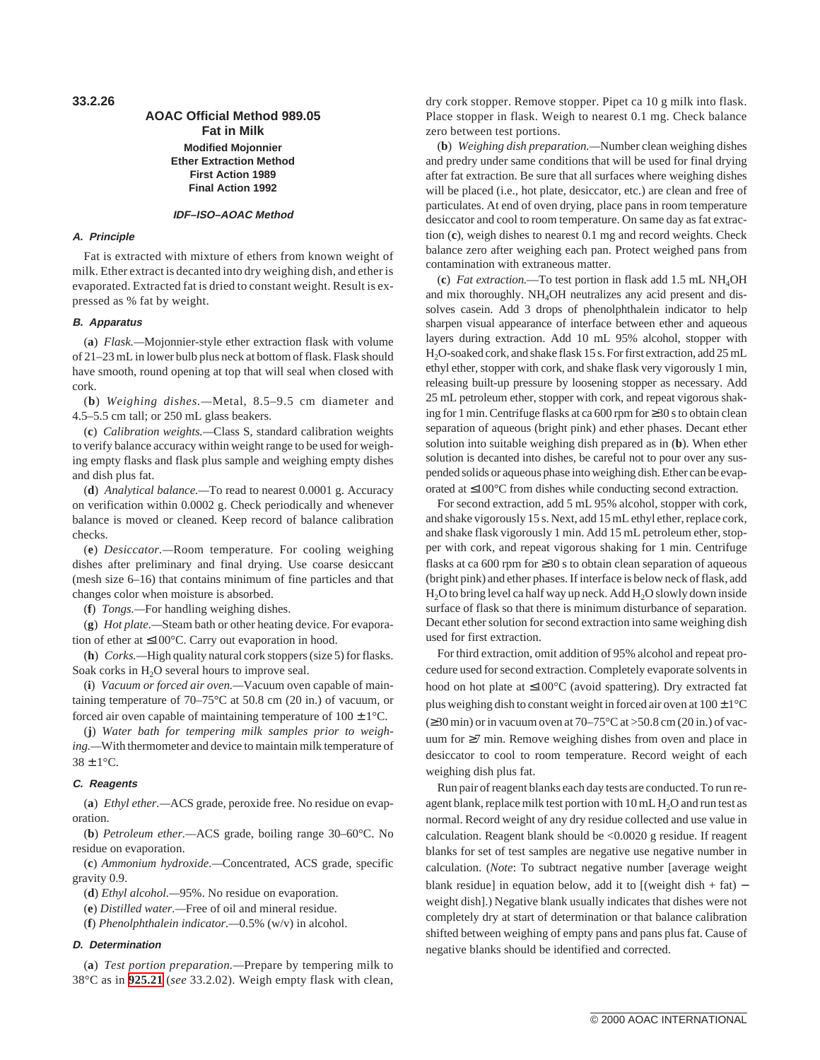**33.2.26**

## **AOAC Official Method 989.05 Fat in Milk Modified Mojonnier Ether Extraction Method First Action 1989 Final Action 1992**

### **IDF–ISO–AOAC Method**

#### **A. Principle**

Fat is extracted with mixture of ethers from known weight of milk. Ether extract is decanted into dry weighing dish, and ether is evaporated. Extracted fat is dried to constant weight. Result is expressed as % fat by weight.

### **B. Apparatus**

(**a**) *Flask.—*Mojonnier-style ether extraction flask with volume of 21–23 mL in lower bulb plus neck at bottom of flask. Flask should have smooth, round opening at top that will seal when closed with cork.

(**b**) *Weighing dishes.—*Metal, 8.5–9.5 cm diameter and 4.5–5.5 cm tall; or 250 mL glass beakers.

(**c**) *Calibration weights.—*Class S, standard calibration weights to verify balance accuracy within weight range to be used for weighing empty flasks and flask plus sample and weighing empty dishes and dish plus fat.

(**d**) *Analytical balance.—*To read to nearest 0.0001 g. Accuracy on verification within 0.0002 g. Check periodically and whenever balance is moved or cleaned. Keep record of balance calibration checks.

(**e**) *Desiccator.—*Room temperature. For cooling weighing dishes after preliminary and final drying. Use coarse desiccant (mesh size 6–16) that contains minimum of fine particles and that changes color when moisture is absorbed.

(**f**) *Tongs.—*For handling weighing dishes.

(**g**) *Hot plate.—*Steam bath or other heating device. For evaporation of ether at ≤100°C. Carry out evaporation in hood.

(**h**) *Corks.—*High quality natural cork stoppers (size 5) for flasks. Soak corks in  $H_2O$  several hours to improve seal.

(**i**) *Vacuum or forced air oven.—*Vacuum oven capable of maintaining temperature of 70–75°C at 50.8 cm (20 in.) of vacuum, or forced air oven capable of maintaining temperature of  $100 \pm 1^{\circ}$ C.

(**j**) *Water bath for tempering milk samples prior to weighing.—*With thermometer and device to maintain milk temperature of  $38 \pm 1$ °C.

#### **C. Reagents**

(**a**) *Ethyl ether.—*ACS grade, peroxide free. No residue on evaporation.

(**b**) *Petroleum ether.—*ACS grade, boiling range 30–60°C. No residue on evaporation.

(**c**) *Ammonium hydroxide.—*Concentrated, ACS grade, specific gravity 0.9.

(**d**) *Ethyl alcohol.—*95%. No residue on evaporation.

(**e**) *Distilled water.—*Free of oil and mineral residue.

(**f**) *Phenolphthalein indicator.—*0.5% (w/v) in alcohol.

#### **D. Determination**

(**a**) *Test portion preparation.—*Prepare by tempering milk to 38°C as in **925.21** (*see* 33.2.02). Weigh empty flask with clean, dry cork stopper. Remove stopper. Pipet ca 10 g milk into flask. Place stopper in flask. Weigh to nearest 0.1 mg. Check balance zero between test portions.

(**b**) *Weighing dish preparation.—*Number clean weighing dishes and predry under same conditions that will be used for final drying after fat extraction. Be sure that all surfaces where weighing dishes will be placed (i.e., hot plate, desiccator, etc.) are clean and free of particulates. At end of oven drying, place pans in room temperature desiccator and cool to room temperature. On same day as fat extraction (**c**), weigh dishes to nearest 0.1 mg and record weights. Check balance zero after weighing each pan. Protect weighed pans from contamination with extraneous matter.

(**c**) *Fat extraction.*—To test portion in flask add 1.5 mL NH4OH and mix thoroughly. NH<sub>4</sub>OH neutralizes any acid present and dissolves casein. Add 3 drops of phenolphthalein indicator to help sharpen visual appearance of interface between ether and aqueous layers during extraction. Add 10 mL 95% alcohol, stopper with H2O-soaked cork, and shake flask 15 s. For first extraction, add 25 mL ethyl ether, stopper with cork, and shake flask very vigorously 1 min, releasing built-up pressure by loosening stopper as necessary. Add 25 mL petroleum ether, stopper with cork, and repeat vigorous shaking for 1 min. Centrifuge flasks at ca 600 rpm for ≥30 s to obtain clean separation of aqueous (bright pink) and ether phases. Decant ether solution into suitable weighing dish prepared as in (**b**). When ether solution is decanted into dishes, be careful not to pour over any suspended solids or aqueous phase into weighing dish. Ether can be evaporated at ≤100°C from dishes while conducting second extraction.

For second extraction, add 5 mL 95% alcohol, stopper with cork, and shake vigorously 15 s. Next, add 15 mL ethyl ether, replace cork, and shake flask vigorously 1 min. Add 15 mL petroleum ether, stopper with cork, and repeat vigorous shaking for 1 min. Centrifuge flasks at ca 600 rpm for ≥30 s to obtain clean separation of aqueous (bright pink) and ether phases. If interface is below neck of flask, add  $H<sub>2</sub>O$  to bring level ca half way up neck. Add  $H<sub>2</sub>O$  slowly down inside surface of flask so that there is minimum disturbance of separation. Decant ether solution for second extraction into same weighing dish used for first extraction.

For third extraction, omit addition of 95% alcohol and repeat procedure used for second extraction. Completely evaporate solvents in hood on hot plate at ≤100°C (avoid spattering). Dry extracted fat plus weighing dish to constant weight in forced air oven at  $100 \pm 1^{\circ}$ C  $(230 \text{ min})$  or in vacuum oven at 70–75°C at >50.8 cm (20 in.) of vacuum for ≥7 min. Remove weighing dishes from oven and place in desiccator to cool to room temperature. Record weight of each weighing dish plus fat.

Run pair of reagent blanks each day tests are conducted. To run reagent blank, replace milk test portion with  $10 \text{ mL H}_2\text{O}$  and run test as normal. Record weight of any dry residue collected and use value in calculation. Reagent blank should be <0.0020 g residue. If reagent blanks for set of test samples are negative use negative number in calculation. (*Note*: To subtract negative number [average weight blank residue] in equation below, add it to  $[(weight \text{ dish} + \text{fat})$ weight dish].) Negative blank usually indicates that dishes were not completely dry at start of determination or that balance calibration shifted between weighing of empty pans and pans plus fat. Cause of negative blanks should be identified and corrected.